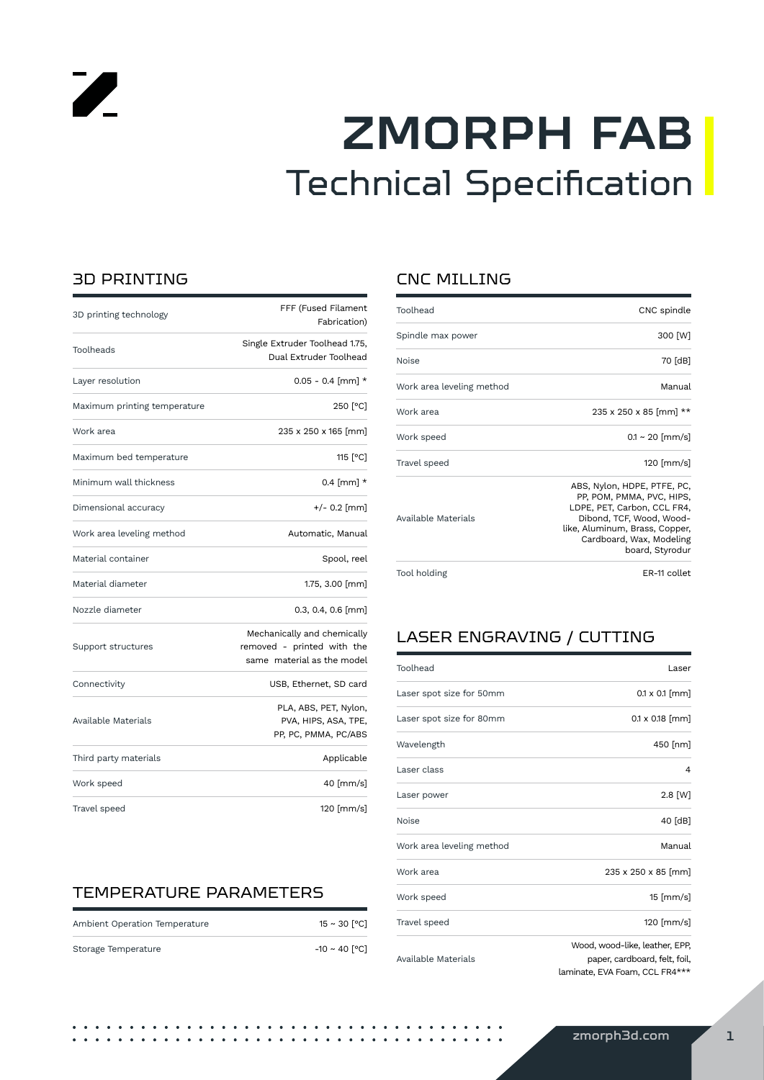# **ZMORPH FAB** Technical Specification

### 3D PRINTING

 $\overline{\mathscr{L}}$ 

| 3D printing technology       | FFF (Fused Filament<br>Fabrication)                                                     |
|------------------------------|-----------------------------------------------------------------------------------------|
| Toolheads                    | Single Extruder Toolhead 1.75,<br>Dual Extruder Toolhead                                |
| Layer resolution             | $0.05 - 0.4$ [mm] *                                                                     |
| Maximum printing temperature | 250 [°C]                                                                                |
| Work area                    | 235 x 250 x 165 [mm]                                                                    |
| Maximum bed temperature      | 115 [°C]                                                                                |
| Minimum wall thickness       | $0.4$ [mm] $*$                                                                          |
| Dimensional accuracy         | +/- 0.2 [mm]                                                                            |
| Work area leveling method    | Automatic, Manual                                                                       |
| Material container           | Spool, reel                                                                             |
| Material diameter            | 1.75, $3.00$ [mm]                                                                       |
| Nozzle diameter              | $0.3, 0.4, 0.6$ [mm]                                                                    |
| Support structures           | Mechanically and chemically<br>removed - printed with the<br>same material as the model |
| Connectivity                 | USB, Ethernet, SD card                                                                  |
| Available Materials          | PLA, ABS, PET, Nylon,<br>PVA, HIPS, ASA, TPE,<br>PP, PC, PMMA, PC/ABS                   |
| Third party materials        | Applicable                                                                              |
| Work speed                   | 40 [mm/s]                                                                               |
| Travel speed                 | 120 [mm/s]                                                                              |

### TEMPERATURE PARAMETERS

| Ambient Operation Temperature | $15 \sim 30$ [°C] |
|-------------------------------|-------------------|
| Storage Temperature           | -10 ∼ 40 [°C]     |

### CNC MILLING

| Toolhead                  | CNC spindle                                                                                                                                                                                          |
|---------------------------|------------------------------------------------------------------------------------------------------------------------------------------------------------------------------------------------------|
| Spindle max power         | 300 [W]                                                                                                                                                                                              |
| Noise                     | 70 [dB]                                                                                                                                                                                              |
| Work area leveling method | Manual                                                                                                                                                                                               |
| Work area                 | $235 \times 250 \times 85$ [mm] **                                                                                                                                                                   |
| Work speed                | $0.1 \sim 20$ [mm/s]                                                                                                                                                                                 |
| Travel speed              | 120 [ $mm/s$ ]                                                                                                                                                                                       |
| Available Materials       | ABS, Nylon, HDPE, PTFE, PC,<br>PP, POM, PMMA, PVC, HIPS,<br>LDPE, PET, Carbon, CCL FR4,<br>Dibond, TCF, Wood, Wood-<br>like, Aluminum, Brass, Copper,<br>Cardboard, Wax, Modeling<br>board, Styrodur |
| Tool holding              | ER-11 collet                                                                                                                                                                                         |

### LASER ENGRAVING / CUTTING

| Toolhead                  | Laser                                                                                             |
|---------------------------|---------------------------------------------------------------------------------------------------|
| Laser spot size for 50mm  | $0.1 \times 0.1$ [mm]                                                                             |
| Laser spot size for 80mm  | $0.1 \times 0.18$ [mm]                                                                            |
| Wavelength                | 450 [nm]                                                                                          |
| Laser class               | 4                                                                                                 |
| Laser power               | $2.8$ [W]                                                                                         |
| <b>Noise</b>              | 40 [dB]                                                                                           |
| Work area leveling method | Manual                                                                                            |
| Work area                 | 235 x 250 x 85 [mm]                                                                               |
| Work speed                | $15$ [mm/s]                                                                                       |
| Travel speed              | 120 [mm/s]                                                                                        |
| Available Materials       | Wood, wood-like, leather, EPP,<br>paper, cardboard, felt, foil,<br>laminate, EVA Foam, CCL FR4*** |